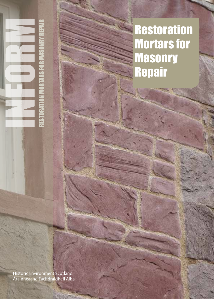# **Restoration** Mortars for **Masonry Repair**

Historic Environment Scotland Àrainneachd Eachdraidheil Alba

RESTORATION MORTARS FOR MASONRY REPAIR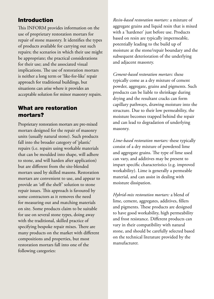## Introduction

This INFORM provides information on the use of proprietary restoration mortars for repair of stone masonry. It identifies the types of products available for carrying out such repairs; the scenarios in which their use might be appropriate; the practical considerations for their use; and the associated visual implications. The use of restoration mortars is neither a long term or 'like-for-like' repair approach for traditional buildings, but situations can arise where it provides an acceptable solution for minor masonry repairs.

### What are restoration mortars?

Proprietary restoration mortars are pre-mixed mortars designed for the repair of masonry units (usually natural stone). Such products fall into the broader category of 'plastic' repairs (i.e. repairs using workable materials that can be moulded into shape, will adhere to stone, and will harden after application) but are different from the site-blended mortars used by skilled masons. Restoration mortars are convenient to use, and appear to provide an 'off the shelf' solution to stone repair issues. This approach is favoured by some contractors as it removes the need for measuring out and matching materials on site. Some products claim to be suitable for use on several stone types, doing away with the traditional, skilled practice of specifying bespoke repair mixes. There are many products on the market with different compositions and properties, but most restoration mortars fall into one of the following categories:

*Resin-based restoration mortars:* a mixture of aggregate grains and liquid resin that is mixed with a 'hardener' just before use. Products based on resin are typically impermeable, potentially leading to the build up of moisture at the stone/repair boundary and the subsequent deterioration of the underlying and adjacent masonry.

*Cement-based restoration mortars:* these typically come as a dry mixture of cement powder, aggregate, grains and pigments. Such products can be liable to shrinkage during drying and the resultant cracks can form capillary pathways, drawing moisture into the structure. Due to their low permeability, the moisture becomes trapped behind the repair and can lead to degradation of underlying masonry.

*Lime-based restoration mortars:* these typically consist of a dry mixture of powdered lime and aggregate grains. The type of lime used can vary, and additives may be present to impart specific characteristics (e.g. improved workability). Lime is generally a permeable material, and can assist in dealing with moisture dissipation.

*Hybrid-mix restoration mortars:* a blend of lime, cement, aggregates, additives, fillers and pigments. These products are designed to have good workability, high permeability and frost resistance. Different products can vary in their compatibility with natural stone, and should be carefully selected based on the technical literature provided by the manufacturer.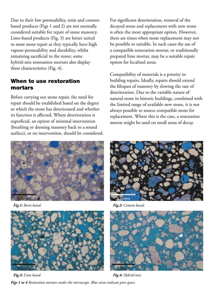Due to their low permeability, resin and cementbased products (Figs 1 and 2) are not normally considered suitable for repair of stone masonry. Lime-based products (Fig. 3) are better suited to most stone repair as they typically have high vapour-permeability and durability, whilst remaining sacrificial to the stone; some hybrid-mix restoration mortars also display these characteristics (Fig. 4).

#### When to use restoration mortars

Before carrying out stone repair, the need for repair should be established based on the degree to which the stone has deteriorated and whether its function is affected. Where deterioration is superficial, an option of minimal intervention (brushing or dressing masonry back to a sound surface), or no intervention, should be considered.

For significant deterioration, removal of the decayed stone and replacement with new stone is often the most appropriate option. However, there are times when stone replacement may not be possible or suitable. In such cases the use of a compatible restoration mortar, or traditionally prepared lime mortar, may be a suitable repair option for localised areas.

Compatibility of materials is a priority in building repairs. Ideally, repairs should extend the lifespan of masonry by slowing the rate of deterioration. Due to the variable nature of natural stone in historic buildings, combined with the limited range of available new stone, it is not always possible to source compatible stone for replacement. Where this is the case, a restoration mortar might be used on small areas of decay.



*Fig.1: Resin based.*



*Fig.3: Lime based.*

*Figs 1 to 4 Restoration mortars under the microscope. Blue areas indicate pore space.* 



*Fig.2: Cement based.*



*Fig.4: Hybrid mix.*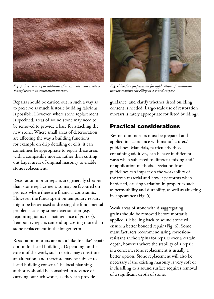

*Fig. 5 Over mixing or addition of excess water can create a 'foamy' texture in restoration mortars.*



*Fig. 6 Surface preparation for application of restoration mortar requires chiselling to a sound surface.*

Repairs should be carried out in such a way as to preserve as much historic building fabric as is possible. However, where stone replacement is specified, areas of sound stone may need to be removed to provide a base for attaching the new stone. Where small areas of deterioration are affecting the way a building functions, for example on drip detailing or cills, it can sometimes be appropriate to repair these areas with a compatible mortar, rather than cutting out larger areas of original masonry to enable stone replacement.

Restoration mortar repairs are generally cheaper than stone replacement, so may be favoured on projects where there are financial constraints. However, the funds spent on temporary repairs might be better used addressing the fundamental problems causing stone deterioration (e.g. repointing joints or maintenance of gutters). Temporary repairs can end up costing more than stone replacement in the longer term.

Restoration mortars are not a 'like-for-like' repair option for listed buildings. Depending on the extent of the work, such repairs may constitute an alteration, and therefore may be subject to listed building consent. The local planning authority should be consulted in advance of carrying out such works, as they can provide

guidance, and clarify whether listed building consent is needed. Large-scale use of restoration mortars is rarely appropriate for listed buildings.

# Practical considerations

Restoration mortars must be prepared and applied in accordance with manufacturers' guidelines. Materials, particularly those containing additives, can behave in different ways when subjected to different mixing and/ or application methods. Deviation from guidelines can impact on the workability of the fresh material and how it performs when hardened, causing variation in properties such as permeability and durability, as well as affecting its appearance (Fig. 5).

Weak areas of stone with disaggregating grains should be removed before mortar is applied. Chiselling back to sound stone will ensure a better bonded repair (Fig. 6). Some manufacturers recommend using corrosionresistant anchors/pins for repairs over a certain depth, however where the stability of a repair is a concern, stone replacement is usually a better option. Stone replacement will also be necessary if the existing masonry is very soft or if chiselling to a sound surface requires removal of a significant depth of stone.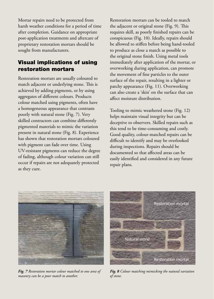Mortar repairs need to be protected from harsh weather conditions for a period of time after completion. Guidance on appropriate post-application treatments and aftercare of proprietary restoration mortars should be sought from manufacturers.

## Visual implications of using restoration mortars

Restoration mortars are usually coloured to match adjacent or underlying stone. This is achieved by adding pigments, or by using aggregates of different colours. Products colour matched using pigments, often have a homogeneous appearance that contrasts poorly with natural stone (Fig. 7). Very skilled contractors can combine differently pigmented materials to mimic the variation present in natural stone (Fig. 8). Experience has shown that restoration mortars coloured with pigment can fade over time. Using UV-resistant pigments can reduce the degree of fading, although colour variation can still occur if repairs are not adequately protected as they cure.

Restoration mortars can be tooled to match the adjacent or original stone (Fig. 9). This requires skill, as poorly finished repairs can be conspicuous (Fig. 10). Ideally, repairs should be allowed to stiffen before being hand-tooled to produce as close a match as possible to the original stone finish. Using metal tools immediately after application of the mortar, or overworking during application, can promote the movement of fine particles to the outer surface of the repair, resulting in a lighter or patchy appearance (Fig. 11). Overworking can also create a 'skin' on the surface that can affect moisture distribution.

Tooling to mimic weathered stone (Fig. 12) helps maintain visual integrity but can be deceptive to observers. Skilled repairs such as this tend to be time-consuming and costly. Good quality, colour-matched repairs can be difficult to identify and may be overlooked during inspections. Repairs should be documented so that affected areas can be easily identified and considered in any future repair plans.



*Fig. 7 Restoration mortar colour matched to one area of masonry can be a poor match to another.*



*Fig. 8 Colour matching mimicking the natural variation of stone.*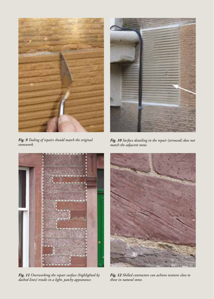

*Fig. 9 Tooling of repairs should match the original stonework.*



*Fig. 10 Surface detailing in the repair (arrowed) does not match the adjacent stone.*



*Fig. 11 Overworking the repair surface (highlighted by dashed lines) results in a light, patchy appearance.* 



*Fig. 12 Skilled contractors can achieve textures close to those in natural stone.*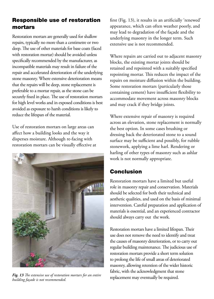# Responsible use of restoration mortars

Restoration mortars are generally used for shallow repairs, typically no more than a centimetre or two deep. The use of other materials for base coats (faced with restoration mortar) should be avoided unless specifically recommended by the manufacturer, as incompatible materials may result in failure of the repair and accelerated deterioration of the underlying stone masonry. Where extensive deterioration means that the repairs will be deep, stone replacement is preferable to a mortar repair, as the stone can be securely fixed in place. The use of restoration mortars for high level works and in exposed conditions is best avoided as exposure to harsh conditions is likely to reduce the lifespan of the material.

Use of restoration mortars on large areas can affect how a building looks and the way it disperses moisture. Although re-facing with restoration mortars can be visually effective at



Fig. 13 The extensive use of restoration mortars for an entire replacement may eventually be required. *building façade is not recommended.*

first (Fig. 13), it results in an artificially 'renewed' appearance, which can often weather poorly, and may lead to degradation of the façade and the underlying masonry in the longer term. Such extensive use is not recommended.

Where repairs are carried out to adjacent masonry blocks, the existing mortar joints should be retained and repointed with a suitably specified repointing mortar. This reduces the impact of the repairs on moisture diffusion within the building. Some restoration mortars (particularly those containing cement) have insufficient flexibility to accommodate movement across masonry blocks and may crack if they bridge joints.

Where extensive repair of masonry is required across an elevation, stone replacement is normally the best option. In some cases brushing or dressing back the deteriorated stone to a sound surface may be sufficient and possibly, for rubble stonework, applying a lime harl. Rendering or harling of other types of masonry such as ashlar work is not normally appropriate.

## Conclusion

Restoration mortars have a limited but useful role in masonry repair and conservation. Materials should be selected for both their technical and aesthetic qualities, and used on the basis of minimal intervention. Careful preparation and application of materials is essential, and an experienced contractor should always carry out the work.

Restoration mortars have a limited lifespan. Their use does not remove the need to identify and treat the causes of masonry deterioration, or to carry out regular building maintenance. The judicious use of restoration mortars provide a short term solution to prolong the life of small areas of deteriorated masonry, allowing retention of the wider historic fabric, with the acknowledgment that stone